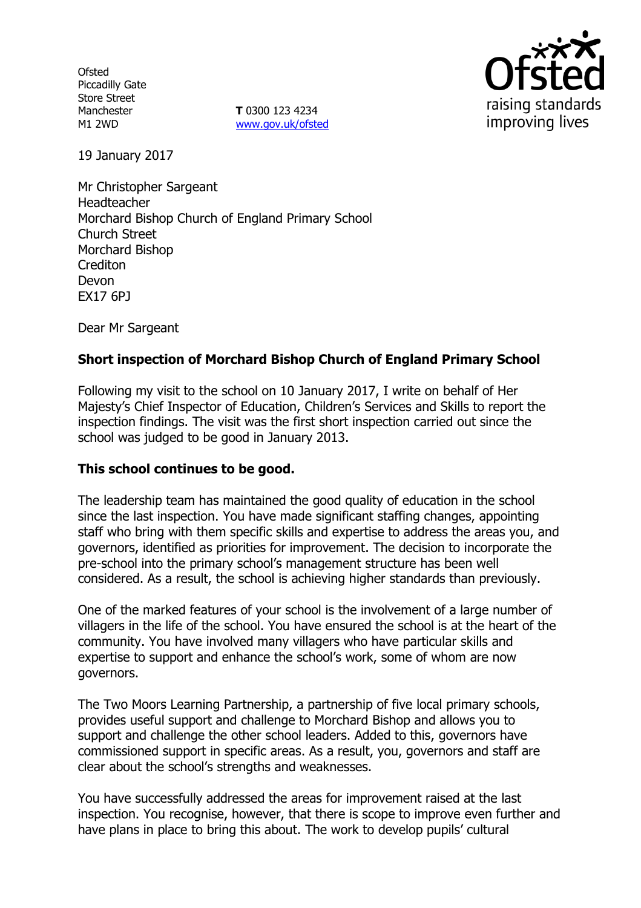**Ofsted** Piccadilly Gate Store Street Manchester M1 2WD

**T** 0300 123 4234 www.gov.uk/ofsted



19 January 2017

Mr Christopher Sargeant Headteacher Morchard Bishop Church of England Primary School Church Street Morchard Bishop **Crediton** Devon EX17 6PJ

Dear Mr Sargeant

# **Short inspection of Morchard Bishop Church of England Primary School**

Following my visit to the school on 10 January 2017, I write on behalf of Her Majesty's Chief Inspector of Education, Children's Services and Skills to report the inspection findings. The visit was the first short inspection carried out since the school was judged to be good in January 2013.

### **This school continues to be good.**

The leadership team has maintained the good quality of education in the school since the last inspection. You have made significant staffing changes, appointing staff who bring with them specific skills and expertise to address the areas you, and governors, identified as priorities for improvement. The decision to incorporate the pre-school into the primary school's management structure has been well considered. As a result, the school is achieving higher standards than previously.

One of the marked features of your school is the involvement of a large number of villagers in the life of the school. You have ensured the school is at the heart of the community. You have involved many villagers who have particular skills and expertise to support and enhance the school's work, some of whom are now governors.

The Two Moors Learning Partnership, a partnership of five local primary schools, provides useful support and challenge to Morchard Bishop and allows you to support and challenge the other school leaders. Added to this, governors have commissioned support in specific areas. As a result, you, governors and staff are clear about the school's strengths and weaknesses.

You have successfully addressed the areas for improvement raised at the last inspection. You recognise, however, that there is scope to improve even further and have plans in place to bring this about. The work to develop pupils' cultural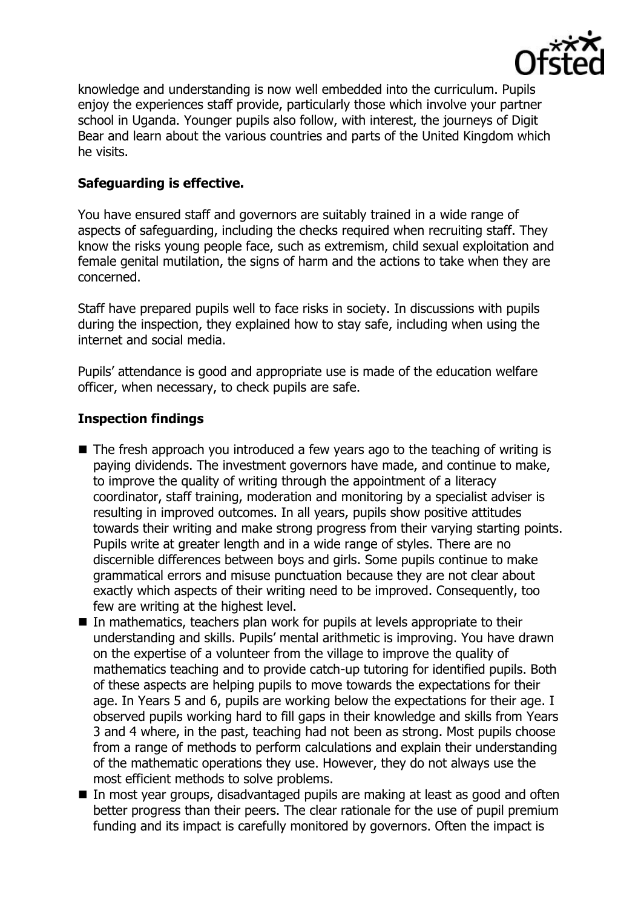

knowledge and understanding is now well embedded into the curriculum. Pupils enjoy the experiences staff provide, particularly those which involve your partner school in Uganda. Younger pupils also follow, with interest, the journeys of Digit Bear and learn about the various countries and parts of the United Kingdom which he visits.

## **Safeguarding is effective.**

You have ensured staff and governors are suitably trained in a wide range of aspects of safeguarding, including the checks required when recruiting staff. They know the risks young people face, such as extremism, child sexual exploitation and female genital mutilation, the signs of harm and the actions to take when they are concerned.

Staff have prepared pupils well to face risks in society. In discussions with pupils during the inspection, they explained how to stay safe, including when using the internet and social media.

Pupils' attendance is good and appropriate use is made of the education welfare officer, when necessary, to check pupils are safe.

# **Inspection findings**

- The fresh approach you introduced a few years ago to the teaching of writing is paying dividends. The investment governors have made, and continue to make, to improve the quality of writing through the appointment of a literacy coordinator, staff training, moderation and monitoring by a specialist adviser is resulting in improved outcomes. In all years, pupils show positive attitudes towards their writing and make strong progress from their varying starting points. Pupils write at greater length and in a wide range of styles. There are no discernible differences between boys and girls. Some pupils continue to make grammatical errors and misuse punctuation because they are not clear about exactly which aspects of their writing need to be improved. Consequently, too few are writing at the highest level.
- In mathematics, teachers plan work for pupils at levels appropriate to their understanding and skills. Pupils' mental arithmetic is improving. You have drawn on the expertise of a volunteer from the village to improve the quality of mathematics teaching and to provide catch-up tutoring for identified pupils. Both of these aspects are helping pupils to move towards the expectations for their age. In Years 5 and 6, pupils are working below the expectations for their age. I observed pupils working hard to fill gaps in their knowledge and skills from Years 3 and 4 where, in the past, teaching had not been as strong. Most pupils choose from a range of methods to perform calculations and explain their understanding of the mathematic operations they use. However, they do not always use the most efficient methods to solve problems.
- In most year groups, disadvantaged pupils are making at least as good and often better progress than their peers. The clear rationale for the use of pupil premium funding and its impact is carefully monitored by governors. Often the impact is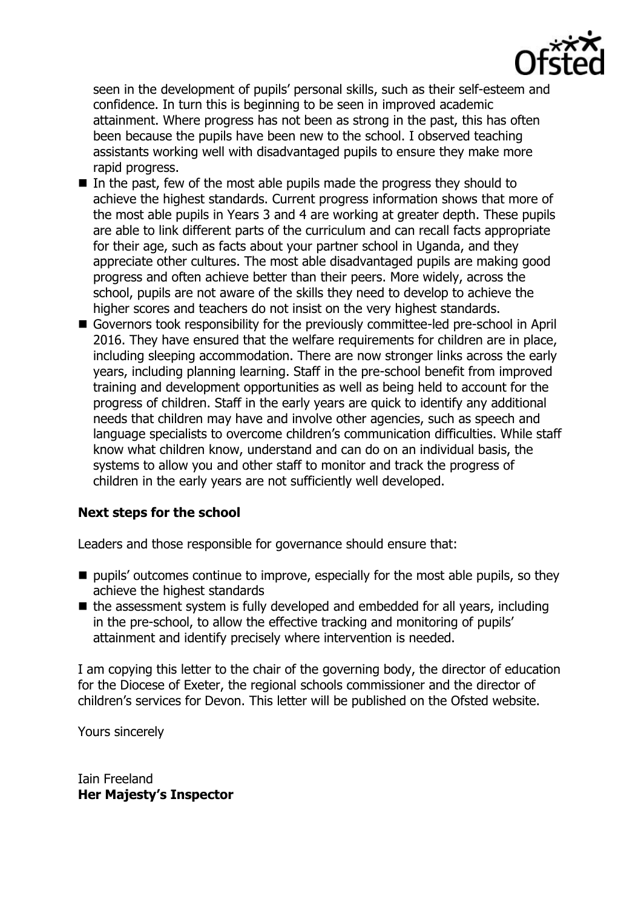

seen in the development of pupils' personal skills, such as their self-esteem and confidence. In turn this is beginning to be seen in improved academic attainment. Where progress has not been as strong in the past, this has often been because the pupils have been new to the school. I observed teaching assistants working well with disadvantaged pupils to ensure they make more rapid progress.

- $\blacksquare$  In the past, few of the most able pupils made the progress they should to achieve the highest standards. Current progress information shows that more of the most able pupils in Years 3 and 4 are working at greater depth. These pupils are able to link different parts of the curriculum and can recall facts appropriate for their age, such as facts about your partner school in Uganda, and they appreciate other cultures. The most able disadvantaged pupils are making good progress and often achieve better than their peers. More widely, across the school, pupils are not aware of the skills they need to develop to achieve the higher scores and teachers do not insist on the very highest standards.
- Governors took responsibility for the previously committee-led pre-school in April 2016. They have ensured that the welfare requirements for children are in place, including sleeping accommodation. There are now stronger links across the early years, including planning learning. Staff in the pre-school benefit from improved training and development opportunities as well as being held to account for the progress of children. Staff in the early years are quick to identify any additional needs that children may have and involve other agencies, such as speech and language specialists to overcome children's communication difficulties. While staff know what children know, understand and can do on an individual basis, the systems to allow you and other staff to monitor and track the progress of children in the early years are not sufficiently well developed.

### **Next steps for the school**

Leaders and those responsible for governance should ensure that:

- $\blacksquare$  pupils' outcomes continue to improve, especially for the most able pupils, so they achieve the highest standards
- $\blacksquare$  the assessment system is fully developed and embedded for all years, including in the pre-school, to allow the effective tracking and monitoring of pupils' attainment and identify precisely where intervention is needed.

I am copying this letter to the chair of the governing body, the director of education for the Diocese of Exeter, the regional schools commissioner and the director of children's services for Devon. This letter will be published on the Ofsted website.

Yours sincerely

Iain Freeland **Her Majesty's Inspector**